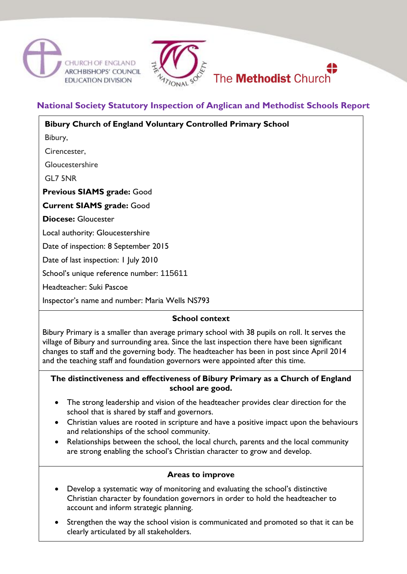



# **National Society Statutory Inspection of Anglican and Methodist Schools Report**

| <b>Bibury Church of England Voluntary Controlled Primary School</b> |
|---------------------------------------------------------------------|
| Bibury,                                                             |
| Cirencester,                                                        |
| Gloucestershire                                                     |
| GL7 5NR                                                             |
| <b>Previous SIAMS grade: Good</b>                                   |
| <b>Current SIAMS grade: Good</b>                                    |
| <b>Diocese: Gloucester</b>                                          |
| Local authority: Gloucestershire                                    |
| Date of inspection: 8 September 2015                                |
| Date of last inspection: I July 2010                                |
| School's unique reference number: 115611                            |
| Headteacher: Suki Pascoe                                            |
|                                                                     |

Inspector's name and number: Maria Wells NS793

# **School context**

Bibury Primary is a smaller than average primary school with 38 pupils on roll. It serves the village of Bibury and surrounding area. Since the last inspection there have been significant changes to staff and the governing body. The headteacher has been in post since April 2014 and the teaching staff and foundation governors were appointed after this time.

#### **The distinctiveness and effectiveness of Bibury Primary as a Church of England school are good.**

- The strong leadership and vision of the headteacher provides clear direction for the school that is shared by staff and governors.
- Christian values are rooted in scripture and have a positive impact upon the behaviours and relationships of the school community.
- Relationships between the school, the local church, parents and the local community are strong enabling the school's Christian character to grow and develop.

# **Areas to improve**

- Develop a systematic way of monitoring and evaluating the school's distinctive Christian character by foundation governors in order to hold the headteacher to account and inform strategic planning.
- Strengthen the way the school vision is communicated and promoted so that it can be clearly articulated by all stakeholders.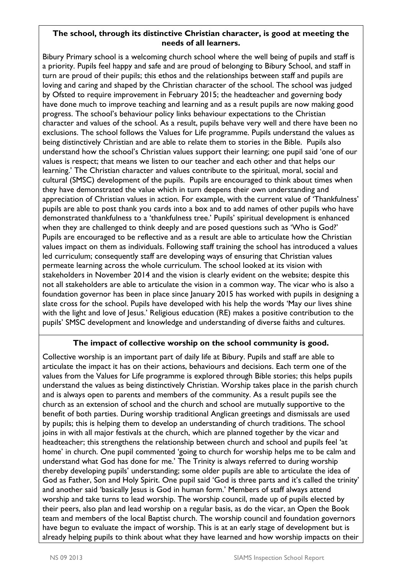#### **The school, through its distinctive Christian character, is good at meeting the needs of all learners.**

Bibury Primary school is a welcoming church school where the well being of pupils and staff is a priority. Pupils feel happy and safe and are proud of belonging to Bibury School, and staff in turn are proud of their pupils; this ethos and the relationships between staff and pupils are loving and caring and shaped by the Christian character of the school. The school was judged by Ofsted to require improvement in February 2015; the headteacher and governing body have done much to improve teaching and learning and as a result pupils are now making good progress. The school's behaviour policy links behaviour expectations to the Christian character and values of the school. As a result, pupils behave very well and there have been no exclusions. The school follows the Values for Life programme. Pupils understand the values as being distinctively Christian and are able to relate them to stories in the Bible. Pupils also understand how the school's Christian values support their learning; one pupil said 'one of our values is respect; that means we listen to our teacher and each other and that helps our learning.' The Christian character and values contribute to the spiritual, moral, social and cultural (SMSC) development of the pupils. Pupils are encouraged to think about times when they have demonstrated the value which in turn deepens their own understanding and appreciation of Christian values in action. For example, with the current value of 'Thankfulness' pupils are able to post thank you cards into a box and to add names of other pupils who have demonstrated thankfulness to a 'thankfulness tree.' Pupils' spiritual development is enhanced when they are challenged to think deeply and are posed questions such as 'Who is God?' Pupils are encouraged to be reflective and as a result are able to articulate how the Christian values impact on them as individuals. Following staff training the school has introduced a values led curriculum; consequently staff are developing ways of ensuring that Christian values permeate learning across the whole curriculum. The school looked at its vision with stakeholders in November 2014 and the vision is clearly evident on the website; despite this not all stakeholders are able to articulate the vision in a common way. The vicar who is also a foundation governor has been in place since January 2015 has worked with pupils in designing a slate cross for the school. Pupils have developed with his help the words 'May our lives shine with the light and love of Jesus.' Religious education (RE) makes a positive contribution to the pupils' SMSC development and knowledge and understanding of diverse faiths and cultures.

# **The impact of collective worship on the school community is good.**

Collective worship is an important part of daily life at Bibury. Pupils and staff are able to articulate the impact it has on their actions, behaviours and decisions. Each term one of the values from the Values for Life programme is explored through Bible stories; this helps pupils understand the values as being distinctively Christian. Worship takes place in the parish church and is always open to parents and members of the community. As a result pupils see the church as an extension of school and the church and school are mutually supportive to the benefit of both parties. During worship traditional Anglican greetings and dismissals are used by pupils; this is helping them to develop an understanding of church traditions. The school joins in with all major festivals at the church, which are planned together by the vicar and headteacher; this strengthens the relationship between church and school and pupils feel 'at home' in church. One pupil commented 'going to church for worship helps me to be calm and understand what God has done for me.' The Trinity is always referred to during worship thereby developing pupils' understanding; some older pupils are able to articulate the idea of God as Father, Son and Holy Spirit. One pupil said 'God is three parts and it's called the trinity' and another said 'basically Jesus is God in human form.' Members of staff always attend worship and take turns to lead worship. The worship council, made up of pupils elected by their peers, also plan and lead worship on a regular basis, as do the vicar, an Open the Book team and members of the local Baptist church. The worship council and foundation governors have begun to evaluate the impact of worship. This is at an early stage of development but is already helping pupils to think about what they have learned and how worship impacts on their